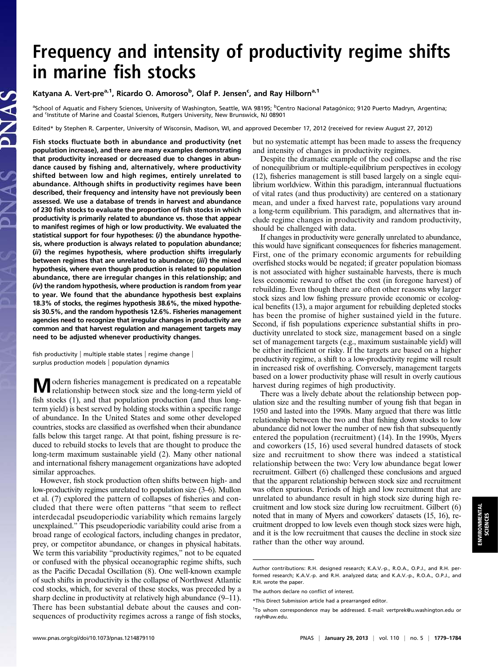# Frequency and intensity of productivity regime shifts in marine fish stocks

## Katyana A. Vert-pre<sup>a,1</sup>, Ricardo O. Amoroso<sup>b</sup>, Olaf P. Jensen<sup>c</sup>, and Ray Hilborn<sup>a,1</sup>

<sup>a</sup>School of Aquatic and Fishery Sciences, University of Washington, Seattle, WA 98195; <sup>b</sup>Centro Nacional Patagónico; 9120 Puerto Madryn, Argentina; and <sup>c</sup>Institute of Marine and Coastal Sciences, Rutgers University, New Brunswick, NJ 08901

Edited\* by Stephen R. Carpenter, University of Wisconsin, Madison, WI, and approved December 17, 2012 (received for review August 27, 2012)

Fish stocks fluctuate both in abundance and productivity (net population increase), and there are many examples demonstrating that productivity increased or decreased due to changes in abundance caused by fishing and, alternatively, where productivity shifted between low and high regimes, entirely unrelated to abundance. Although shifts in productivity regimes have been described, their frequency and intensity have not previously been assessed. We use a database of trends in harvest and abundance of 230 fish stocks to evaluate the proportion of fish stocks in which productivity is primarily related to abundance vs. those that appear to manifest regimes of high or low productivity. We evaluated the statistical support for four hypotheses: (i) the abundance hypothesis, where production is always related to population abundance; (ii) the regimes hypothesis, where production shifts irregularly between regimes that are unrelated to abundance; (iii) the mixed hypothesis, where even though production is related to population abundance, there are irregular changes in this relationship; and (iv) the random hypothesis, where production is random from year to year. We found that the abundance hypothesis best explains 18.3% of stocks, the regimes hypothesis 38.6%, the mixed hypothesis 30.5%, and the random hypothesis 12.6%. Fisheries management agencies need to recognize that irregular changes in productivity are common and that harvest regulation and management targets may need to be adjusted whenever productivity changes.

fish productivity | multiple stable states | regime change | surplus production models | population dynamics

Modern fisheries management is predicated on a repeatable relationship between stock size and the long-term yield of fish stocks (1), and that population production (and thus longterm yield) is best served by holding stocks within a specific range of abundance. In the United States and some other developed countries, stocks are classified as overfished when their abundance falls below this target range. At that point, fishing pressure is reduced to rebuild stocks to levels that are thought to produce the long-term maximum sustainable yield (2). Many other national and international fishery management organizations have adopted similar approaches.

However, fish stock production often shifts between high- and low-productivity regimes unrelated to population size (3–6). Mullon et al. (7) explored the pattern of collapses of fisheries and concluded that there were often patterns "that seem to reflect interdecadal pseudoperiodic variability which remains largely unexplained." This pseudoperiodic variability could arise from a broad range of ecological factors, including changes in predator, prey, or competitor abundance, or changes in physical habitats. We term this variability "productivity regimes," not to be equated or confused with the physical oceanographic regime shifts, such as the Pacific Decadal Oscillation (8). One well-known example of such shifts in productivity is the collapse of Northwest Atlantic cod stocks, which, for several of these stocks, was preceded by a sharp decline in productivity at relatively high abundance (9–11). There has been substantial debate about the causes and consequences of productivity regimes across a range of fish stocks,

but no systematic attempt has been made to assess the frequency and intensity of changes in productivity regimes.

Despite the dramatic example of the cod collapse and the rise of nonequilibrium or multiple-equilibrium perspectives in ecology (12), fisheries management is still based largely on a single equilibrium worldview. Within this paradigm, interannual fluctuations of vital rates (and thus productivity) are centered on a stationary mean, and under a fixed harvest rate, populations vary around a long-term equilibrium. This paradigm, and alternatives that include regime changes in productivity and random productivity, should be challenged with data.

If changes in productivity were generally unrelated to abundance, this would have significant consequences for fisheries management. First, one of the primary economic arguments for rebuilding overfished stocks would be negated; if greater population biomass is not associated with higher sustainable harvests, there is much less economic reward to offset the cost (in foregone harvest) of rebuilding. Even though there are often other reasons why larger stock sizes and low fishing pressure provide economic or ecological benefits (13), a major argument for rebuilding depleted stocks has been the promise of higher sustained yield in the future. Second, if fish populations experience substantial shifts in productivity unrelated to stock size, management based on a single set of management targets (e.g., maximum sustainable yield) will be either inefficient or risky. If the targets are based on a higher productivity regime, a shift to a low-productivity regime will result in increased risk of overfishing. Conversely, management targets based on a lower productivity phase will result in overly cautious harvest during regimes of high productivity.

There was a lively debate about the relationship between population size and the resulting number of young fish that began in 1950 and lasted into the 1990s. Many argued that there was little relationship between the two and that fishing down stocks to low abundance did not lower the number of new fish that subsequently entered the population (recruitment) (14). In the 1990s, Myers and coworkers (15, 16) used several hundred datasets of stock size and recruitment to show there was indeed a statistical relationship between the two: Very low abundance begat lower recruitment. Gilbert (6) challenged these conclusions and argued that the apparent relationship between stock size and recruitment was often spurious. Periods of high and low recruitment that are unrelated to abundance result in high stock size during high recruitment and low stock size during low recruitment. Gilbert (6) noted that in many of Myers and coworkers' datasets (15, 16), recruitment dropped to low levels even though stock sizes were high, and it is the low recruitment that causes the decline in stock size rather than the other way around.

Author contributions: R.H. designed research; K.A.V.-p., R.O.A., O.P.J., and R.H. performed research; K.A.V.-p. and R.H. analyzed data; and K.A.V.-p., R.O.A., O.P.J., and R.H. wrote the paper.

The authors declare no conflict of interest.

<sup>\*</sup>This Direct Submission article had a prearranged editor.

<sup>&</sup>lt;sup>1</sup>To whom correspondence may be addressed. E-mail: [vertprek@u.washington.edu](mailto:vertprek@u.washington.edu) or [rayh@uw.edu.](mailto:rayh@uw.edu)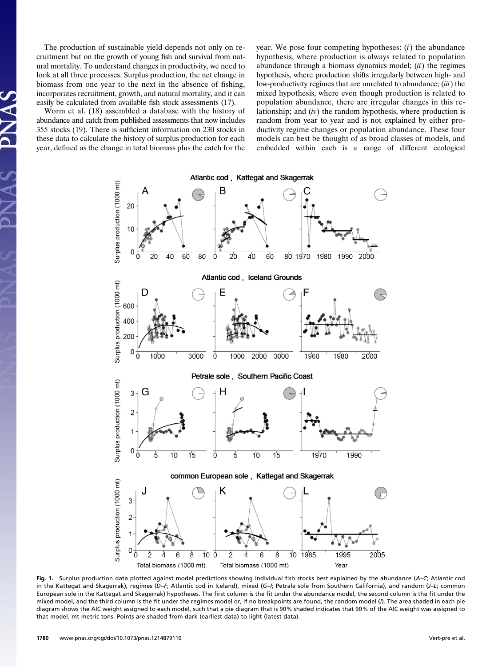The production of sustainable yield depends not only on recruitment but on the growth of young fish and survival from natural mortality. To understand changes in productivity, we need to look at all three processes. Surplus production, the net change in biomass from one year to the next in the absence of fishing, incorporates recruitment, growth, and natural mortality, and it can easily be calculated from available fish stock assessments (17).

Worm et al. (18) assembled a database with the history of abundance and catch from published assessments that now includes 355 stocks (19). There is sufficient information on 230 stocks in these data to calculate the history of surplus production for each year, defined as the change in total biomass plus the catch for the year. We pose four competing hypotheses:  $(i)$  the abundance hypothesis, where production is always related to population abundance through a biomass dynamics model;  $(ii)$  the regimes hypothesis, where production shifts irregularly between high- and low-productivity regimes that are unrelated to abundance; *(iii)* the mixed hypothesis, where even though production is related to population abundance, there are irregular changes in this relationship; and  $(iv)$  the random hypothesis, where production is random from year to year and is not explained by either productivity regime changes or population abundance. These four models can best be thought of as broad classes of models, and embedded within each is a range of different ecological



Fig. 1. Surplus production data plotted against model predictions showing individual fish stocks best explained by the abundance (A–C; Atlantic cod in the Kattegat and Skagerrak), regimes (D-F; Atlantic cod in Iceland), mixed (G-I; Petrale sole from Southern California), and random (J-L; common European sole in the Kattegat and Skagerrak) hypotheses. The first column is the fit under the abundance model, the second column is the fit under the mixed model, and the third column is the fit under the regimes model or, if no breakpoints are found, the random model (l). The area shaded in each pie diagram shows the AIC weight assigned to each model, such that a pie diagram that is 90% shaded indicates that 90% of the AIC weight was assigned to that model. mt metric tons. Points are shaded from dark (earliest data) to light (latest data).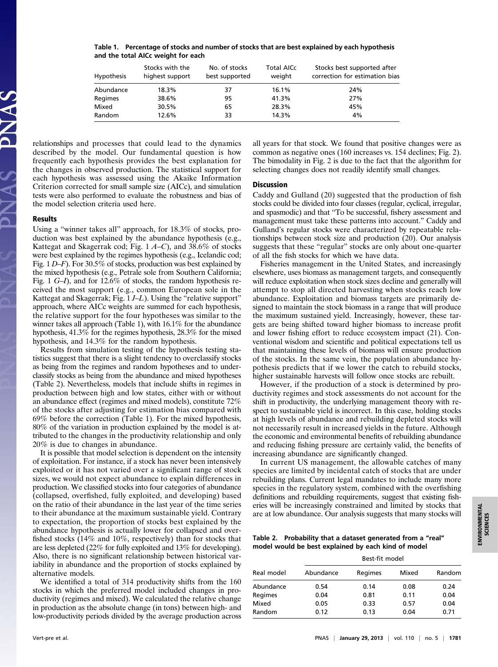| <b>Hypothesis</b> | Stocks with the<br>highest support | No. of stocks<br>best supported | <b>Total AICc</b><br>weight | Stocks best supported after<br>correction for estimation bias |
|-------------------|------------------------------------|---------------------------------|-----------------------------|---------------------------------------------------------------|
| Abundance         | 18.3%                              | 37                              | 16.1%                       | 24%                                                           |
| Regimes           | 38.6%                              | 95                              | 41.3%                       | 27%                                                           |
| Mixed             | 30.5%                              | 65                              | 28.3%                       | 45%                                                           |
| Random            | 12.6%                              | 33                              | 14.3%                       | 4%                                                            |

Table 1. Percentage of stocks and number of stocks that are best explained by each hypothesis and the total AICc weight for each

relationships and processes that could lead to the dynamics described by the model. Our fundamental question is how frequently each hypothesis provides the best explanation for the changes in observed production. The statistical support for each hypothesis was assessed using the Akaike Information Criterion corrected for small sample size (AICc), and simulation tests were also performed to evaluate the robustness and bias of the model selection criteria used here.

### Results

Using a "winner takes all" approach, for 18.3% of stocks, production was best explained by the abundance hypothesis (e.g., Kattegat and Skagerrak cod; Fig.  $1A-C$ ), and  $38.6\%$  of stocks were best explained by the regimes hypothesis (e.g., Icelandic cod; Fig. 1 D–F). For 30.5% of stocks, production was best explained by the mixed hypothesis (e.g., Petrale sole from Southern California; Fig. 1 G–I), and for 12.6% of stocks, the random hypothesis received the most support (e.g., common European sole in the Kattegat and Skagerrak; Fig. 1J-L). Using the "relative support" approach, where AICc weights are summed for each hypothesis, the relative support for the four hypotheses was similar to the winner takes all approach (Table 1), with 16.1% for the abundance hypothesis, 41.3% for the regimes hypothesis, 28.3% for the mixed hypothesis, and 14.3% for the random hypothesis.

Results from simulation testing of the hypothesis testing statistics suggest that there is a slight tendency to overclassify stocks as being from the regimes and random hypotheses and to underclassify stocks as being from the abundance and mixed hypotheses (Table 2). Nevertheless, models that include shifts in regimes in production between high and low states, either with or without an abundance effect (regimes and mixed models), constitute 72% of the stocks after adjusting for estimation bias compared with 69% before the correction (Table 1). For the mixed hypothesis, 80% of the variation in production explained by the model is attributed to the changes in the productivity relationship and only 20% is due to changes in abundance.

It is possible that model selection is dependent on the intensity of exploitation. For instance, if a stock has never been intensively exploited or it has not varied over a significant range of stock sizes, we would not expect abundance to explain differences in production. We classified stocks into four categories of abundance (collapsed, overfished, fully exploited, and developing) based on the ratio of their abundance in the last year of the time series to their abundance at the maximum sustainable yield. Contrary to expectation, the proportion of stocks best explained by the abundance hypothesis is actually lower for collapsed and overfished stocks (14% and 10%, respectively) than for stocks that are less depleted (22% for fully exploited and 13% for developing). Also, there is no significant relationship between historical variability in abundance and the proportion of stocks explained by alternative models.

We identified a total of 314 productivity shifts from the 160 stocks in which the preferred model included changes in productivity (regimes and mixed). We calculated the relative change in production as the absolute change (in tons) between high- and low-productivity periods divided by the average production across

all years for that stock. We found that positive changes were as common as negative ones (160 increases vs. 154 declines; Fig. 2). The bimodality in Fig. 2 is due to the fact that the algorithm for selecting changes does not readily identify small changes.

### Discussion

Caddy and Gulland (20) suggested that the production of fish stocks could be divided into four classes (regular, cyclical, irregular, and spasmodic) and that "To be successful, fishery assessment and management must take these patterns into account." Caddy and Gulland's regular stocks were characterized by repeatable relationships between stock size and production (20). Our analysis suggests that these "regular" stocks are only about one-quarter of all the fish stocks for which we have data.

Fisheries management in the United States, and increasingly elsewhere, uses biomass as management targets, and consequently will reduce exploitation when stock sizes decline and generally will attempt to stop all directed harvesting when stocks reach low abundance. Exploitation and biomass targets are primarily designed to maintain the stock biomass in a range that will produce the maximum sustained yield. Increasingly, however, these targets are being shifted toward higher biomass to increase profit and lower fishing effort to reduce ecosystem impact (21). Conventional wisdom and scientific and political expectations tell us that maintaining these levels of biomass will ensure production of the stocks. In the same vein, the population abundance hypothesis predicts that if we lower the catch to rebuild stocks, higher sustainable harvests will follow once stocks are rebuilt.

However, if the production of a stock is determined by productivity regimes and stock assessments do not account for the shift in productivity, the underlying management theory with respect to sustainable yield is incorrect. In this case, holding stocks at high levels of abundance and rebuilding depleted stocks will not necessarily result in increased yields in the future. Although the economic and environmental benefits of rebuilding abundance and reducing fishing pressure are certainly valid, the benefits of increasing abundance are significantly changed.

In current US management, the allowable catches of many species are limited by incidental catch of stocks that are under rebuilding plans. Current legal mandates to include many more species in the regulatory system, combined with the overfishing definitions and rebuilding requirements, suggest that existing fisheries will be increasingly constrained and limited by stocks that are at low abundance. Our analysis suggests that many stocks will

Table 2. Probability that a dataset generated from a "real" model would be best explained by each kind of model

|            | Best-fit model |         |       |        |  |
|------------|----------------|---------|-------|--------|--|
| Real model | Abundance      | Regimes | Mixed | Random |  |
| Abundance  | 0.54           | 0.14    | 0.08  | 0.24   |  |
| Regimes    | 0.04           | 0.81    | 0.11  | 0.04   |  |
| Mixed      | 0.05           | 0.33    | 0.57  | 0.04   |  |
| Random     | 0.12           | 0.13    | 0.04  | 0.71   |  |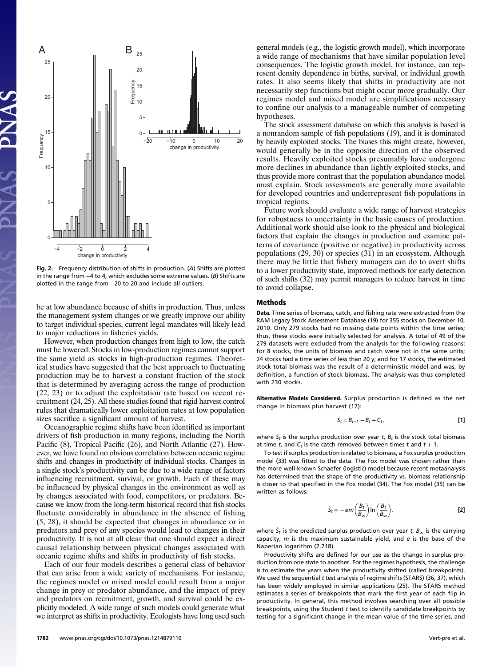

Fig. 2. Frequency distribution of shifts in production. (A) Shifts are plotted in the range from −4 to 4, which excludes some extreme values. (B) Shifts are plotted in the range from −20 to 20 and include all outliers.

be at low abundance because of shifts in production. Thus, unless the management system changes or we greatly improve our ability to target individual species, current legal mandates will likely lead to major reductions in fisheries yields.

However, when production changes from high to low, the catch must be lowered. Stocks in low-production regimes cannot support the same yield as stocks in high-production regimes. Theoretical studies have suggested that the best approach to fluctuating production may be to harvest a constant fraction of the stock that is determined by averaging across the range of production (22, 23) or to adjust the exploitation rate based on recent recruitment (24, 25). All these studies found that rigid harvest control rules that dramatically lower exploitation rates at low population sizes sacrifice a significant amount of harvest.

Oceanographic regime shifts have been identified as important drivers of fish production in many regions, including the North Pacific (8), Tropical Pacific (26), and North Atlantic (27). However, we have found no obvious correlation between oceanic regime shifts and changes in productivity of individual stocks. Changes in a single stock's productivity can be due to a wide range of factors influencing recruitment, survival, or growth. Each of these may be influenced by physical changes in the environment as well as by changes associated with food, competitors, or predators. Because we know from the long-term historical record that fish stocks fluctuate considerably in abundance in the absence of fishing (5, 28), it should be expected that changes in abundance or in predators and prey of any species would lead to changes in their productivity. It is not at all clear that one should expect a direct causal relationship between physical changes associated with oceanic regime shifts and shifts in productivity of fish stocks.

Each of our four models describes a general class of behavior that can arise from a wide variety of mechanisms. For instance, the regimes model or mixed model could result from a major change in prey or predator abundance, and the impact of prey and predators on recruitment, growth, and survival could be explicitly modeled. A wide range of such models could generate what we interpret as shifts in productivity. Ecologists have long used such

general models (e.g., the logistic growth model), which incorporate a wide range of mechanisms that have similar population level consequences. The logistic growth model, for instance, can represent density dependence in births, survival, or individual growth rates. It also seems likely that shifts in productivity are not necessarily step functions but might occur more gradually. Our regimes model and mixed model are simplifications necessary to confine our analysis to a manageable number of competing hypotheses.

The stock assessment database on which this analysis is based is a nonrandom sample of fish populations (19), and it is dominated by heavily exploited stocks. The biases this might create, however, would generally be in the opposite direction of the observed results. Heavily exploited stocks presumably have undergone more declines in abundance than lightly exploited stocks, and thus provide more contrast that the population abundance model must explain. Stock assessments are generally more available for developed countries and underrepresent fish populations in tropical regions.

Future work should evaluate a wide range of harvest strategies for robustness to uncertainty in the basic causes of production. Additional work should also look to the physical and biological factors that explain the changes in production and examine patterns of covariance (positive or negative) in productivity across populations (29, 30) or species (31) in an ecosystem. Although there may be little that fishery managers can do to avert shifts to a lower productivity state, improved methods for early detection of such shifts (32) may permit managers to reduce harvest in time to avoid collapse.

#### Methods

Data. Time series of biomass, catch, and fishing rate were extracted from the RAM Legacy Stock Assessment Database (19) for 355 stocks on December 10, 2010. Only 279 stocks had no missing data points within the time series; thus, these stocks were initially selected for analysis. A total of 49 of the 279 datasets were excluded from the analysis for the following reasons: for 8 stocks, the units of biomass and catch were not in the same units; 24 stocks had a time series of less than 20 y; and for 17 stocks, the estimated stock total biomass was the result of a deterministic model and was, by definition, a function of stock biomass. The analysis was thus completed with 230 stocks.

Alternative Models Considered. Surplus production is defined as the net change in biomass plus harvest (17):

$$
S_t = B_{t+1} - B_t + C_t, \qquad [1]
$$

where  $S_t$  is the surplus production over year t,  $B_t$  is the stock total biomass at time t, and  $C_t$  is the catch removed between times t and  $t + 1$ .

To test if surplus production is related to biomass, a Fox surplus production model (33) was fitted to the data. The Fox model was chosen rather than the more well-known Schaefer (logistic) model because recent metaanalysis has determined that the shape of the productivity vs. biomass relationship is closer to that specified in the Fox model (34). The Fox model (35) can be written as follows:

$$
\hat{S}_t = -\operatorname{em}\left(\frac{B_t}{B_{\infty}}\right) \ln\left(\frac{B_t}{B_{\infty}}\right),\tag{2}
$$

where  $\hat{S}_t$  is the predicted surplus production over year t,  $B_{\infty}$  is the carrying capacity, m is the maximum sustainable yield, and e is the base of the Naperian logarithm (2.718).

Productivity shifts are defined for our use as the change in surplus production from one state to another. For the regimes hypothesis, the challenge is to estimate the years when the productivity shifted (called breakpoints). We used the sequential t test analysis of regime shifts (STARS) (36, 37), which has been widely employed in similar applications (25). The STARS method estimates a series of breakpoints that mark the first year of each flip in productivity. In general, this method involves searching over all possible breakpoints, using the Student  $t$  test to identify candidate breakpoints by testing for a significant change in the mean value of the time series, and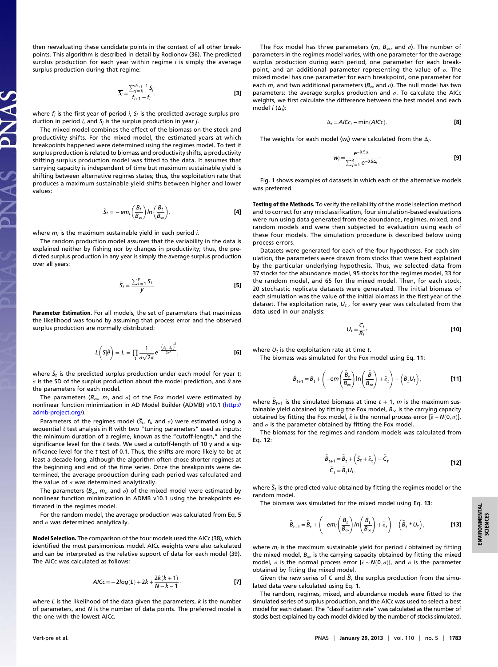then reevaluating these candidate points in the context of all other breakpoints. This algorithm is described in detail by Rodionov (36). The predicted surplus production for each year within regime  $i$  is simply the average surplus production during that regime:

$$
\overline{S}_i = \frac{\sum_{j=f_i}^{f_{i+1}-1} S_j}{f_{i+1}-f_i},
$$
\n[3]

where  $f_i$  is the first year of period i,  $\overline{S}_i$  is the predicted average surplus production in period i, and  $S_i$  is the surplus production in year j.

The mixed model combines the effect of the biomass on the stock and productivity shifts. For the mixed model, the estimated years at which breakpoints happened were determined using the regimes model. To test if surplus production is related to biomass and productivity shifts, a productivity shifting surplus production model was fitted to the data. It assumes that carrying capacity is independent of time but maximum sustainable yield is shifting between alternative regimes states; thus, the exploitation rate that produces a maximum sustainable yield shifts between higher and lower values:

$$
\hat{S}_t = -\, \mathbf{e} m_i \left( \frac{B_t}{B_{\infty}} \right) \ln \left( \frac{B_t}{B_{\infty}} \right), \tag{4}
$$

where  $m_i$  is the maximum sustainable yield in each period i.

The random production model assumes that the variability in the data is explained neither by fishing nor by changes in productivity; thus, the predicted surplus production in any year is simply the average surplus production over all years:

$$
\hat{S}_t = \frac{\sum_{t=1}^y S_t}{y}.
$$
 [5]

Parameter Estimation. For all models, the set of parameters that maximizes the likelihood was found by assuming that process error and the observed surplus production are normally distributed:

$$
L(S|\hat{\theta}) = L = \prod_{t} \frac{1}{\sigma \sqrt{2\pi}} e^{-\frac{(s_t - \hat{s}_t)^2}{2\sigma^2}},
$$
 [6]

where  $\hat{S}_t$  is the predicted surplus production under each model for year t;  $\sigma$  is the SD of the surplus production about the model prediction, and  $\hat{\theta}$  are the parameters for each model.

The parameters ( $B_{\infty}$ , m, and  $\sigma$ ) of the Fox model were estimated by nonlinear function minimization in AD Model Builder (ADMB) v10.1 ([http://](http://admb-project.org/) [admb-project.org/\)](http://admb-project.org/).

Parameters of the regimes model  $(\overline{S}_i, f_i, \text{ and } \sigma)$  were estimated using a sequential t test analysis in R with two "tuning parameters" used as inputs: the minimum duration of a regime, known as the "cutoff-length," and the significance level for the t tests. We used a cutoff-length of 10 y and a significance level for the t test of 0.1. Thus, the shifts are more likely to be at least a decade long, although the algorithm often chose shorter regimes at the beginning and end of the time series. Once the breakpoints were determined, the average production during each period was calculated and the value of  $\sigma$  was determined analytically.

The parameters ( $B_{\infty}$ ,  $m_i$ , and  $\sigma$ ) of the mixed model were estimated by nonlinear function minimization in ADMB v10.1 using the breakpoints estimated in the regimes model.

For the random model, the average production was calculated from Eq. 5 and  $\sigma$  was determined analytically.

Model Selection. The comparison of the four models used the AICc (38), which identified the most parsimonious model. AICc weights were also calculated and can be interpreted as the relative support of data for each model (39). The AICc was calculated as follows:

$$
AICc = -2log(L) + 2k + \frac{2k(k+1)}{N-k-1},
$$
[7]

where  $L$  is the likelihood of the data given the parameters,  $k$  is the number of parameters, and N is the number of data points. The preferred model is the one with the lowest AICc.

The Fox model has three parameters (m,  $B_{\infty}$ , and  $\sigma$ ). The number of parameters in the regimes model varies, with one parameter for the average surplus production during each period, one parameter for each breakpoint, and an additional parameter representing the value of  $\sigma$ . The mixed model has one parameter for each breakpoint, one parameter for each m, and two additional parameters ( $B_{\infty}$  and  $\sigma$ ). The null model has two parameters: the average surplus production and  $\sigma$ . To calculate the AICc weights, we first calculate the difference between the best model and each model  $i$  ( $\Delta_i$ ):

$$
\Delta_i = AICc_i - \min(AICc).
$$
 [8]

The weights for each model (w<sub>i</sub>) were calculated from the  $\Delta_i$ .

$$
w_i = \frac{e^{-0.5\Delta_i}}{\sum_{j=1}^4 e^{-0.5\Delta_j}}.
$$
 [9]

Fig. 1 shows examples of datasets in which each of the alternative models was preferred.

Testing of the Methods. To verify the reliability of the model selection method and to correct for any misclassification, four simulation-based evaluations were run using data generated from the abundance, regimes, mixed, and random models and were then subjected to evaluation using each of these four models. The simulation procedure is described below using process errors.

Datasets were generated for each of the four hypotheses. For each simulation, the parameters were drawn from stocks that were best explained by the particular underlying hypothesis. Thus, we selected data from 37 stocks for the abundance model, 95 stocks for the regimes model, 33 for the random model, and 65 for the mixed model. Then, for each stock, 20 stochastic replicate datasets were generated. The initial biomass of each simulation was the value of the initial biomass in the first year of the dataset. The exploitation rate,  $U_t$ , for every year was calculated from the data used in our analysis:

$$
U_t = \frac{C_t}{B_t},
$$
 [10]

where  $U_t$  is the exploitation rate at time t.

The biomass was simulated for the Fox model using Eq. 11:

$$
\tilde{B}_{t+1} = \tilde{B}_t + \left( -\mathrm{e}m\left(\frac{\tilde{B}_t}{B_\infty}\right)\ln\left(\frac{\tilde{B}}{B_\infty}\right) + \tilde{\varepsilon}_t \right) - \left(\tilde{B}_t U_t\right),\tag{11}
$$

where  $\tilde{B}_{t+1}$  is the simulated biomass at time  $t + 1$ , m is the maximum sustainable yield obtained by fitting the Fox model,  $B_{\infty}$  is the carrying capacity obtained by fitting the Fox model,  $\tilde{e}$  is the normal process error  $[\tilde{e} \sim N(0, \sigma)]$ , and  $\sigma$  is the parameter obtained by fitting the Fox model.

The biomass for the regimes and random models was calculated from Eq. 12:

$$
\tilde{B}_{t+1} = \tilde{B}_t + (\hat{S}_t + \tilde{e}_t) - \tilde{C}_t
$$
\n
$$
\tilde{C}_t = \tilde{B}_t U_t,
$$
\n
$$
(12)
$$

where  $S_t$  is the predicted value obtained by fitting the regimes model or the random model.

The biomass was simulated for the mixed model using Eq. 13:

$$
\tilde{B}_{t+1} = \tilde{B}_t + \left( -\mathbf{e}m_i \left( \frac{\tilde{B}_t}{B_\infty} \right) \ln \left( \frac{\tilde{B}_t}{B_\infty} \right) + \tilde{\varepsilon}_t \right) - \left( \tilde{B}_t * U_t \right),\tag{13}
$$

where  $m_i$  is the maximum sustainable yield for period *i* obtained by fitting the mixed model,  $B_{\infty}$  is the carrying capacity obtained by fitting the mixed model,  $\tilde{\varepsilon}$  is the normal process error  $[\tilde{\varepsilon} \sim N(0, \sigma)]$ , and  $\sigma$  is the parameter obtained by fitting the mixed model.

Given the new series of  $\tilde{C}$  and  $\tilde{B}$ , the surplus production from the simulated data were calculated using Eq. 1.

The random, regimes, mixed, and abundance models were fitted to the simulated series of surplus production, and the AICc was used to select a best model for each dataset. The "classification rate" was calculated as the number of stocks best explained by each model divided by the number of stocks simulated.